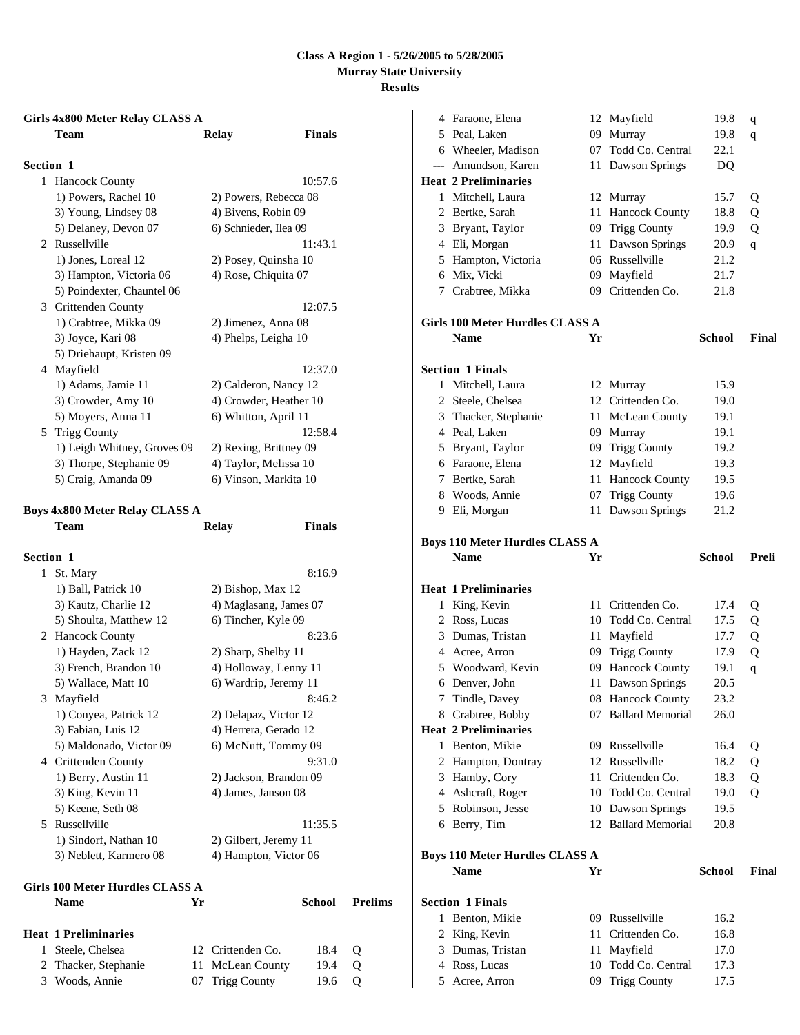# **Girls 4x800 Meter Relay CLASS A**

|                  | Team                                  | Relay                  | <b>Finals</b> |
|------------------|---------------------------------------|------------------------|---------------|
| <b>Section 1</b> |                                       |                        |               |
| $\mathbf{1}$     | <b>Hancock County</b>                 |                        | 10:57.6       |
|                  | 1) Powers, Rachel 10                  | 2) Powers, Rebecca 08  |               |
|                  | 3) Young, Lindsey 08                  | 4) Bivens, Robin 09    |               |
|                  | 5) Delaney, Devon 07                  | 6) Schnieder, Ilea 09  |               |
|                  | 2 Russellville                        |                        | 11:43.1       |
|                  | 1) Jones, Loreal 12                   | 2) Posey, Quinsha 10   |               |
|                  | 3) Hampton, Victoria 06               | 4) Rose, Chiquita 07   |               |
|                  | 5) Poindexter, Chauntel 06            |                        |               |
|                  | 3 Crittenden County                   |                        | 12:07.5       |
|                  | 1) Crabtree, Mikka 09                 | 2) Jimenez, Anna 08    |               |
|                  | 3) Joyce, Kari 08                     | 4) Phelps, Leigha 10   |               |
|                  | 5) Driehaupt, Kristen 09              |                        |               |
|                  | 4 Mayfield                            |                        | 12:37.0       |
|                  | 1) Adams, Jamie 11                    | 2) Calderon, Nancy 12  |               |
|                  | 3) Crowder, Amy 10                    | 4) Crowder, Heather 10 |               |
|                  | 5) Moyers, Anna 11                    | 6) Whitton, April 11   |               |
|                  | 5 Trigg County                        |                        | 12:58.4       |
|                  | 1) Leigh Whitney, Groves 09           | 2) Rexing, Brittney 09 |               |
|                  | 3) Thorpe, Stephanie 09               | 4) Taylor, Melissa 10  |               |
|                  | 5) Craig, Amanda 09                   | 6) Vinson, Markita 10  |               |
|                  | <b>Boys 4x800 Meter Relay CLASS A</b> |                        |               |
|                  | Team                                  | Relay                  | <b>Finals</b> |
| Section 1        |                                       |                        |               |
| 1                | St. Mary                              |                        | 8:16.9        |
|                  | 1) Ball, Patrick 10                   | 2) Bishop, Max 12      |               |
|                  | 3) Kautz, Charlie 12                  | 4) Maglasang, James 07 |               |
|                  | 5) Shoulta, Matthew 12                | 6) Tincher, Kyle 09    |               |
|                  | 2 Hancock County                      |                        | 8:23.6        |

|    | $1/2$ and $1/2$         | $=$ , Disnop, Man 12   |
|----|-------------------------|------------------------|
|    | 3) Kautz, Charlie 12    | 4) Maglasang, James 07 |
|    | 5) Shoulta, Matthew 12  | 6) Tincher, Kyle 09    |
|    | 2 Hancock County        | 8:23.6                 |
|    | 1) Hayden, Zack 12      | 2) Sharp, Shelby 11    |
|    | 3) French, Brandon 10   | 4) Holloway, Lenny 11  |
|    | 5) Wallace, Matt 10     | 6) Wardrip, Jeremy 11  |
| 3  | Mayfield                | 8:46.2                 |
|    | 1) Conyea, Patrick 12   | 2) Delapaz, Victor 12  |
|    | 3) Fabian, Luis 12      | 4) Herrera, Gerado 12  |
|    | 5) Maldonado, Victor 09 | 6) McNutt, Tommy 09    |
| 4  | Crittenden County       | 9:31.0                 |
|    | 1) Berry, Austin 11     | 2) Jackson, Brandon 09 |
|    | 3) King, Kevin 11       | 4) James, Janson 08    |
|    | 5) Keene, Seth 08       |                        |
| 5. | Russellville            | 11:35.5                |
|    | 1) Sindorf, Nathan 10   | 2) Gilbert, Jeremy 11  |
|    | 3) Neblett, Karmero 08  | 4) Hampton, Victor 06  |

| Girls 100 Meter Hurdles CLASS A |                             |    |                   |        |          |
|---------------------------------|-----------------------------|----|-------------------|--------|----------|
|                                 | <b>Name</b>                 | Yr |                   | School | Prelims  |
|                                 | <b>Heat 1 Preliminaries</b> |    |                   |        |          |
|                                 | Steele, Chelsea             |    | 12 Crittenden Co. | 18.4   | $\Omega$ |
|                                 | 2 Thacker, Stephanie        |    | 11 McLean County  | 19.4   | $\Omega$ |
| 3                               | Woods, Annie                |    | 07 Trigg County   | 19.6   |          |

|   | 4 Faraone, Elena                      |    | 12 Mayfield                | 19.8          | q     |
|---|---------------------------------------|----|----------------------------|---------------|-------|
|   | 5 Peal, Laken                         |    | 09 Murray                  | 19.8          | q     |
|   | 6 Wheeler, Madison                    | 07 | Todd Co. Central           | 22.1          |       |
|   | --- Amundson, Karen                   |    | 11 Dawson Springs          | DQ            |       |
|   | <b>Heat 2 Preliminaries</b>           |    |                            |               |       |
| 1 | Mitchell, Laura                       |    | 12 Murray                  | 15.7          | Q     |
|   | 2 Bertke, Sarah                       | 11 | Hancock County             | 18.8          | Q     |
|   | 3 Bryant, Taylor                      | 09 | <b>Trigg County</b>        | 19.9          | Q     |
|   | 4 Eli, Morgan                         | 11 | Dawson Springs             | 20.9          | q     |
|   | 5 Hampton, Victoria                   | 06 | Russellville               | 21.2          |       |
|   | 6 Mix, Vicki                          | 09 | Mayfield                   | 21.7          |       |
|   | 7 Crabtree, Mikka                     | 09 | Crittenden Co.             | 21.8          |       |
|   |                                       |    |                            |               |       |
|   | Girls 100 Meter Hurdles CLASS A       |    |                            |               |       |
|   | <b>Name</b>                           | Yr |                            | <b>School</b> | Final |
|   | <b>Section 1 Finals</b>               |    |                            |               |       |
|   | 1 Mitchell, Laura                     |    | 12 Murray                  | 15.9          |       |
|   | 2 Steele, Chelsea                     |    | 12 Crittenden Co.          | 19.0          |       |
|   | 3 Thacker, Stephanie                  | 11 | McLean County              | 19.1          |       |
|   | 4 Peal, Laken                         | 09 | Murray                     | 19.1          |       |
|   | 5 Bryant, Taylor                      | 09 | <b>Trigg County</b>        | 19.2          |       |
|   | 6 Faraone, Elena                      | 12 | Mayfield                   | 19.3          |       |
|   | 7 Bertke, Sarah                       | 11 | Hancock County             | 19.5          |       |
|   | 8 Woods, Annie                        | 07 | <b>Trigg County</b>        | 19.6          |       |
|   | 9 Eli, Morgan                         | 11 | Dawson Springs             | 21.2          |       |
|   |                                       |    |                            |               |       |
|   | <b>Boys 110 Meter Hurdles CLASS A</b> |    |                            |               |       |
|   |                                       |    |                            |               |       |
|   | <b>Name</b>                           | Yr |                            | <b>School</b> | Preli |
|   |                                       |    |                            |               |       |
|   | <b>Heat 1 Preliminaries</b>           |    |                            |               |       |
|   | 1 King, Kevin                         | 11 | Crittenden Co.             | 17.4          | Q     |
|   | 2 Ross, Lucas                         | 10 | Todd Co. Central           | 17.5          | Q     |
|   | 3 Dumas, Tristan                      | 11 | Mayfield                   | 17.7          | Q     |
|   | 4 Acree, Arron                        |    | 09 Trigg County            | 17.9          | Q     |
|   | 5 Woodward, Kevin                     |    | 09 Hancock County          | 19.1          | q     |
|   | 6 Denver, John                        |    | 11 Dawson Springs          | 20.5          |       |
|   | 7 Tindle, Davey                       |    | 08 Hancock County          | 23.2          |       |
|   | 8 Crabtree, Bobby                     |    | 07 Ballard Memorial        | 26.0          |       |
|   | <b>Heat 2 Preliminaries</b>           |    |                            |               |       |
|   | 1 Benton, Mikie                       |    | 09 Russellville            | 16.4          | Q     |
|   | 2 Hampton, Dontray                    |    | 12 Russellville            | 18.2          | Q     |
|   | 3 Hamby, Cory                         | 11 | Crittenden Co.             | 18.3          | Q     |
|   | 4 Ashcraft, Roger                     |    | 10 Todd Co. Central        | 19.0          | Q     |
|   | 5 Robinson, Jesse                     |    | 10 Dawson Springs          | 19.5          |       |
|   | 6 Berry, Tim                          |    | 12 Ballard Memorial        | 20.8          |       |
|   | <b>Boys 110 Meter Hurdles CLASS A</b> |    |                            |               |       |
|   | <b>Name</b>                           | Yr |                            | <b>School</b> | Final |
|   | <b>Section 1 Finals</b>               |    |                            |               |       |
| 1 |                                       |    | 09 Russellville            | 16.2          |       |
|   | Benton, Mikie                         | 11 |                            | 16.8          |       |
|   | 2 King, Kevin<br>3 Dumas, Tristan     | 11 | Crittenden Co.<br>Mayfield | 17.0          |       |

5 Acree, Arron 09 Trigg County 17.5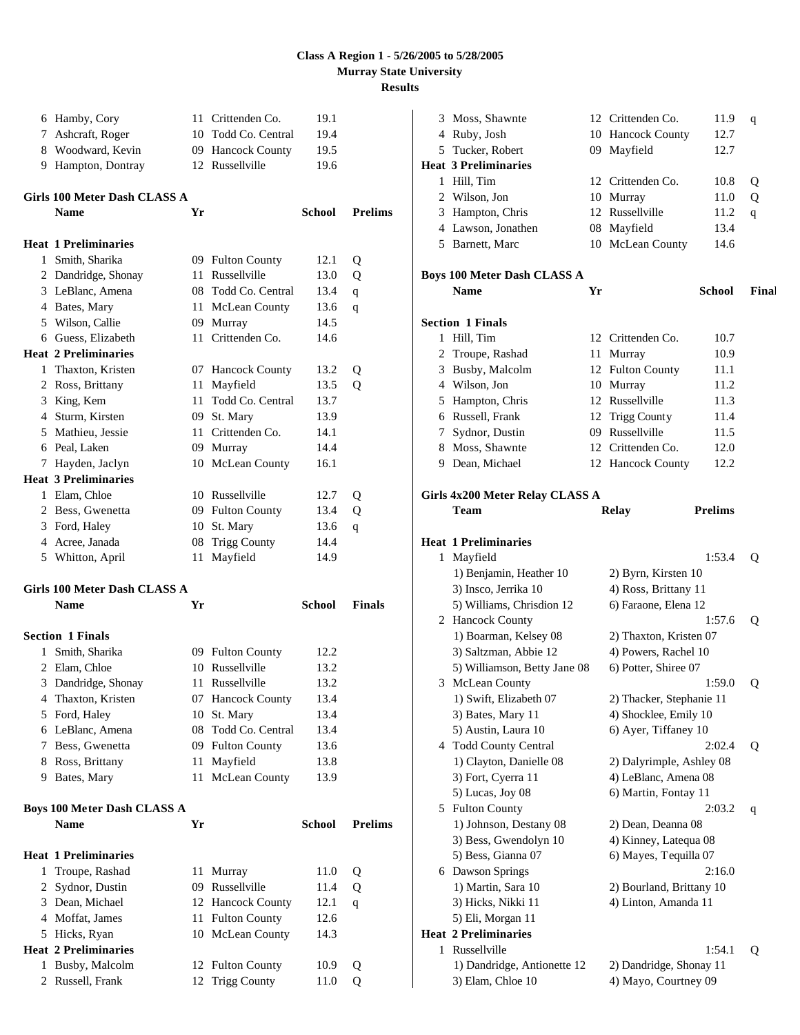|   | 6 Hamby, Cory                                     |    | 11 Crittenden Co.                       | 19.1          |                |
|---|---------------------------------------------------|----|-----------------------------------------|---------------|----------------|
|   | 7 Ashcraft, Roger                                 |    | 10 Todd Co. Central                     | 19.4          |                |
|   | 8 Woodward, Kevin                                 |    | 09 Hancock County                       | 19.5          |                |
|   | 9 Hampton, Dontray                                |    | 12 Russellville                         | 19.6          |                |
|   |                                                   |    |                                         |               |                |
|   | Girls 100 Meter Dash CLASS A<br><b>Name</b>       | Yr |                                         | School        | <b>Prelims</b> |
|   |                                                   |    |                                         |               |                |
|   | <b>Heat 1 Preliminaries</b>                       |    |                                         |               |                |
|   | 1 Smith, Sharika                                  |    | 09 Fulton County                        | 12.1          | Q              |
|   | 2 Dandridge, Shonay                               | 11 | Russellville                            | 13.0          | Q              |
|   | 3 LeBlanc, Amena                                  |    | 08 Todd Co. Central                     | 13.4          | q              |
|   | 4 Bates, Mary                                     | 11 | McLean County                           | 13.6          | q              |
|   | 5 Wilson, Callie                                  |    | 09 Murray                               | 14.5          |                |
|   | 6 Guess, Elizabeth                                |    | 11 Crittenden Co.                       | 14.6          |                |
|   | <b>Heat 2 Preliminaries</b>                       |    |                                         |               |                |
|   | 1 Thaxton, Kristen                                |    | 07 Hancock County                       | 13.2          | Q              |
|   | 2 Ross, Brittany                                  | 11 | Mayfield                                | 13.5          | Q              |
|   | 3 King, Kem                                       | 11 | Todd Co. Central                        | 13.7          |                |
|   | 4 Sturm, Kirsten                                  |    | 09 St. Mary                             | 13.9          |                |
|   | 5 Mathieu, Jessie                                 |    | 11 Crittenden Co.                       | 14.1          |                |
|   | 6 Peal, Laken                                     |    | 09 Murray                               | 14.4          |                |
|   | 7 Hayden, Jaclyn                                  |    | 10 McLean County                        | 16.1          |                |
|   | <b>Heat 3 Preliminaries</b>                       |    |                                         |               |                |
|   | 1 Elam, Chloe                                     |    | 10 Russellville                         | 12.7          | Q              |
|   | 2 Bess, Gwenetta                                  |    | 09 Fulton County                        | 13.4          | Q              |
|   | 3 Ford, Haley                                     |    | 10 St. Mary                             | 13.6          | q              |
|   | 4 Acree, Janada                                   | 08 | <b>Trigg County</b>                     | 14.4          |                |
|   | 5 Whitton, April                                  | 11 | Mayfield                                | 14.9          |                |
|   | Girls 100 Meter Dash CLASS A                      |    |                                         |               |                |
|   | <b>Name</b>                                       | Yr |                                         | <b>School</b> | <b>Finals</b>  |
|   | <b>Section 1 Finals</b>                           |    |                                         |               |                |
| 1 | Smith, Sharika                                    |    | 09 Fulton County                        | 12.2          |                |
|   | 2 Elam, Chloe                                     |    | 10 Russellville                         | 13.2          |                |
| 3 | Dandridge, Shonay                                 | 11 | Russellville                            | 13.2          |                |
| 4 | Thaxton, Kristen                                  | 07 | <b>Hancock County</b>                   | 13.4          |                |
|   | 5 Ford, Haley                                     |    | 10 St. Mary                             | 13.4          |                |
|   | 6 LeBlanc, Amena                                  | 08 | Todd Co. Central                        | 13.4          |                |
|   | 7 Bess, Gwenetta                                  | 09 | <b>Fulton County</b>                    | 13.6          |                |
|   | 8 Ross, Brittany                                  | 11 | Mayfield                                | 13.8          |                |
|   | 9 Bates, Mary                                     | 11 | McLean County                           | 13.9          |                |
|   |                                                   |    |                                         |               |                |
|   | <b>Boys 100 Meter Dash CLASS A</b><br><b>Name</b> | Yr |                                         | <b>School</b> | <b>Prelims</b> |
|   |                                                   |    |                                         |               |                |
|   |                                                   |    |                                         |               |                |
|   | <b>Heat 1 Preliminaries</b>                       |    |                                         |               |                |
| 1 | Troupe, Rashad                                    | 11 | Murray                                  | 11.0          | Q              |
| 2 | Sydnor, Dustin                                    |    | 09 Russellville                         | 11.4          | Q              |
|   | 3 Dean, Michael                                   |    | 12 Hancock County                       | 12.1          | q              |
|   | 4 Moffat, James                                   | 11 | <b>Fulton County</b>                    | 12.6          |                |
|   | 5 Hicks, Ryan                                     |    | 10 McLean County                        | 14.3          |                |
|   | <b>Heat 2 Preliminaries</b>                       |    |                                         |               |                |
| 1 | Busby, Malcolm<br>2 Russell, Frank                |    | 12 Fulton County<br><b>Trigg County</b> | 10.9          | Q              |

| 3 | Moss, Shawnte                      |    | 12 Crittenden Co.        | 11.9           | q     |
|---|------------------------------------|----|--------------------------|----------------|-------|
|   | 4 Ruby, Josh                       |    | 10 Hancock County        | 12.7           |       |
|   | 5 Tucker, Robert                   |    | 09 Mayfield              | 12.7           |       |
|   | <b>Heat 3 Preliminaries</b>        |    |                          |                |       |
|   | 1 Hill, Tim                        |    | 12 Crittenden Co.        | 10.8           | Q     |
|   | 2 Wilson, Jon                      |    | 10 Murray                | 11.0           | Q     |
|   | 3 Hampton, Chris                   |    | 12 Russellville          | 11.2           | q     |
|   | 4 Lawson, Jonathen                 |    | 08 Mayfield              | 13.4           |       |
|   | 5 Barnett, Marc                    |    | 10 McLean County         | 14.6           |       |
|   |                                    |    |                          |                |       |
|   | <b>Boys 100 Meter Dash CLASS A</b> |    |                          |                |       |
|   | <b>Name</b>                        | Yr |                          | <b>School</b>  | Final |
|   | <b>Section 1 Finals</b>            |    |                          |                |       |
|   | 1 Hill, Tim                        |    | 12 Crittenden Co.        | 10.7           |       |
|   | 2 Troupe, Rashad                   | 11 | Murray                   | 10.9           |       |
|   | 3 Busby, Malcolm                   |    | 12 Fulton County         | 11.1           |       |
|   | 4 Wilson, Jon                      |    | 10 Murray                | 11.2           |       |
|   | 5 Hampton, Chris                   |    | 12 Russellville          | 11.3           |       |
|   | 6 Russell, Frank                   |    | 12 Trigg County          | 11.4           |       |
|   | 7 Sydnor, Dustin                   |    | 09 Russellville          | 11.5           |       |
|   | 8 Moss, Shawnte                    |    | 12 Crittenden Co.        | 12.0           |       |
|   | 9 Dean, Michael                    |    | 12 Hancock County        | 12.2           |       |
|   |                                    |    |                          |                |       |
|   | Girls 4x200 Meter Relay CLASS A    |    |                          |                |       |
|   | <b>Team</b>                        |    | <b>Relay</b>             | <b>Prelims</b> |       |
|   | <b>Heat 1 Preliminaries</b>        |    |                          |                |       |
| 1 | Mayfield                           |    |                          | 1:53.4         | Q     |
|   | 1) Benjamin, Heather 10            |    | 2) Byrn, Kirsten 10      |                |       |
|   | 3) Insco, Jerrika 10               |    | 4) Ross, Brittany 11     |                |       |
|   | 5) Williams, Chrisdion 12          |    | 6) Faraone, Elena 12     |                |       |
|   | 2 Hancock County                   |    |                          | 1:57.6         | Q     |
|   | 1) Boarman, Kelsey 08              |    | 2) Thaxton, Kristen 07   |                |       |
|   | 3) Saltzman, Abbie 12              |    | 4) Powers, Rachel 10     |                |       |
|   | 5) Williamson, Betty Jane 08       |    | 6) Potter, Shiree 07     |                |       |
|   | 3 McLean County                    |    |                          | 1:59.0         | Q     |
|   | 1) Swift, Elizabeth 07             |    | 2) Thacker, Stephanie 11 |                |       |
|   | 3) Bates, Mary 11                  |    | 4) Shocklee, Emily 10    |                |       |
|   | 5) Austin, Laura 10                |    | 6) Ayer, Tiffaney 10     |                |       |
| 4 | <b>Todd County Central</b>         |    |                          | 2:02.4         | Q     |
|   | 1) Clayton, Danielle 08            |    | 2) Dalyrimple, Ashley 08 |                |       |
|   | 3) Fort, Cyerra 11                 |    | 4) LeBlanc, Amena 08     |                |       |
|   | 5) Lucas, Joy 08                   |    | 6) Martin, Fontay 11     |                |       |
| 5 | <b>Fulton County</b>               |    |                          | 2:03.2         | q     |
|   | 1) Johnson, Destany 08             |    | 2) Dean, Deanna 08       |                |       |
|   | 3) Bess, Gwendolyn 10              |    | 4) Kinney, Latequa 08    |                |       |
|   | 5) Bess, Gianna 07                 |    | 6) Mayes, Tequilla 07    |                |       |
| 6 | Dawson Springs                     |    |                          | 2:16.0         |       |
|   | 1) Martin, Sara 10                 |    | 2) Bourland, Brittany 10 |                |       |
|   | 3) Hicks, Nikki 11                 |    | 4) Linton, Amanda 11     |                |       |
|   | 5) Eli, Morgan 11                  |    |                          |                |       |
|   | <b>Heat 2 Preliminaries</b>        |    |                          |                |       |
| 1 | Russellville                       |    |                          | 1:54.1         | Q     |
|   | 1) Dandridge, Antionette 12        |    | 2) Dandridge, Shonay 11  |                |       |
|   | 3) Elam, Chloe 10                  |    | 4) Mayo, Courtney 09     |                |       |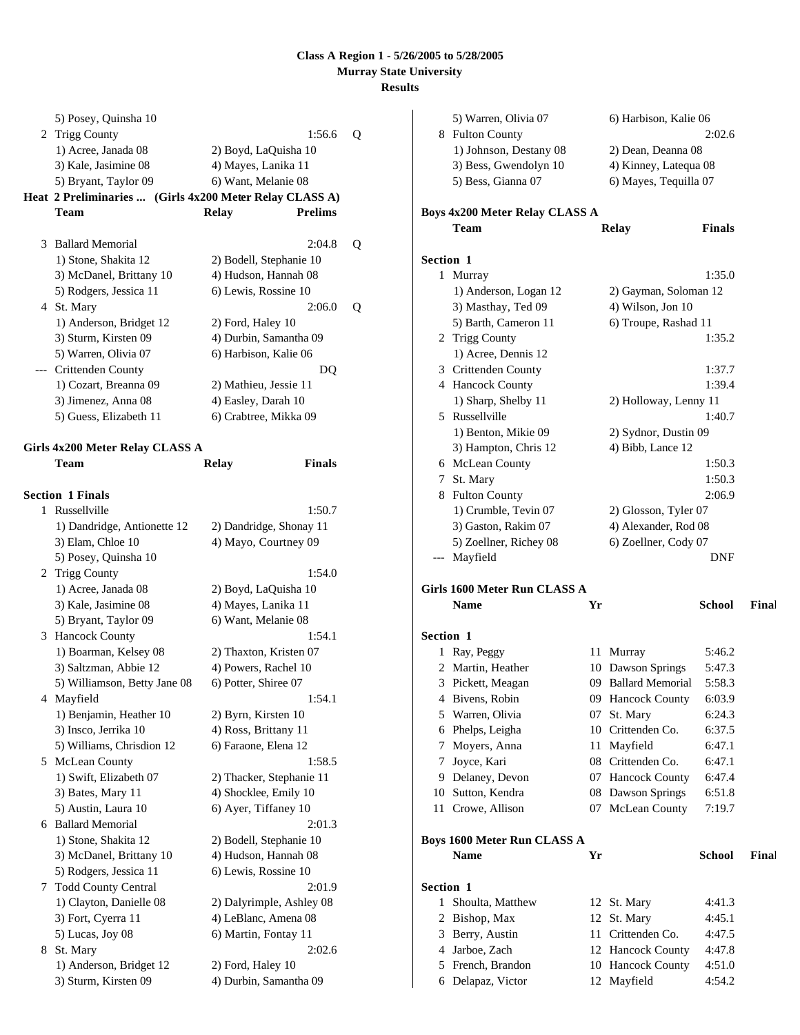|   | 5) Posey, Quinsha 10                                    |                                              |                          |   |
|---|---------------------------------------------------------|----------------------------------------------|--------------------------|---|
|   | 2 Trigg County                                          |                                              | 1:56.6                   | Q |
|   | 1) Acree, Janada 08                                     | 2) Boyd, LaQuisha 10                         |                          |   |
|   | 3) Kale, Jasimine 08                                    | 4) Mayes, Lanika 11                          |                          |   |
|   | 5) Bryant, Taylor 09                                    | 6) Want, Melanie 08                          |                          |   |
|   | Heat 2 Preliminaries  (Girls 4x200 Meter Relay CLASS A) |                                              |                          |   |
|   | Team                                                    | <b>Relay</b>                                 | <b>Prelims</b>           |   |
|   |                                                         |                                              |                          |   |
| 3 | <b>Ballard Memorial</b>                                 |                                              | 2:04.8                   | Q |
|   | 1) Stone, Shakita 12                                    | 2) Bodell, Stephanie 10                      |                          |   |
|   | 3) McDanel, Brittany 10                                 | 4) Hudson, Hannah 08                         |                          |   |
|   | 5) Rodgers, Jessica 11                                  | 6) Lewis, Rossine 10                         |                          |   |
|   | 4 St. Mary                                              |                                              | 2:06.0                   | Q |
|   | 1) Anderson, Bridget 12                                 | 2) Ford, Haley 10                            |                          |   |
|   | 3) Sturm, Kirsten 09                                    | 4) Durbin, Samantha 09                       |                          |   |
|   | 5) Warren, Olivia 07                                    | 6) Harbison, Kalie 06                        |                          |   |
|   | --- Crittenden County<br>1) Cozart, Breanna 09          |                                              | DQ                       |   |
|   |                                                         | 2) Mathieu, Jessie 11                        |                          |   |
|   | 3) Jimenez, Anna 08<br>5) Guess, Elizabeth 11           | 4) Easley, Darah 10<br>6) Crabtree, Mikka 09 |                          |   |
|   |                                                         |                                              |                          |   |
|   | Girls 4x200 Meter Relay CLASS A                         |                                              |                          |   |
|   | Team                                                    | Relay                                        | <b>Finals</b>            |   |
|   |                                                         |                                              |                          |   |
|   | <b>Section 1 Finals</b>                                 |                                              |                          |   |
| 1 | Russellville                                            |                                              | 1:50.7                   |   |
|   | 1) Dandridge, Antionette 12                             |                                              | 2) Dandridge, Shonay 11  |   |
|   | 3) Elam, Chloe 10                                       | 4) Mayo, Courtney 09                         |                          |   |
|   | 5) Posey, Quinsha 10                                    |                                              |                          |   |
|   | 2 Trigg County                                          |                                              | 1:54.0                   |   |
|   | 1) Acree, Janada 08                                     | 2) Boyd, LaQuisha 10                         |                          |   |
|   | 3) Kale, Jasimine 08                                    | 4) Mayes, Lanika 11                          |                          |   |
|   | 5) Bryant, Taylor 09                                    | 6) Want, Melanie 08                          |                          |   |
|   | 3 Hancock County                                        |                                              | 1:54.1                   |   |
|   | 1) Boarman, Kelsey 08                                   | 2) Thaxton, Kristen 07                       |                          |   |
|   | 3) Saltzman, Abbie 12                                   | 4) Powers, Rachel 10                         |                          |   |
|   | 5) Williamson, Betty Jane 08                            | 6) Potter, Shiree 07                         |                          |   |
|   | 4 Mayfield                                              |                                              | 1:54.1                   |   |
|   | 1) Benjamin, Heather 10<br>3) Insco, Jerrika 10         | 2) Byrn, Kirsten 10<br>4) Ross, Brittany 11  |                          |   |
|   | 5) Williams, Chrisdion 12                               | 6) Faraone, Elena 12                         |                          |   |
|   | 5 McLean County                                         |                                              | 1:58.5                   |   |
|   | 1) Swift, Elizabeth 07                                  |                                              | 2) Thacker, Stephanie 11 |   |
|   | 3) Bates, Mary 11                                       | 4) Shocklee, Emily 10                        |                          |   |
|   | 5) Austin, Laura 10                                     | 6) Ayer, Tiffaney 10                         |                          |   |
|   | 6 Ballard Memorial                                      |                                              | 2:01.3                   |   |
|   | 1) Stone, Shakita 12                                    | 2) Bodell, Stephanie 10                      |                          |   |
|   | 3) McDanel, Brittany 10                                 | 4) Hudson, Hannah 08                         |                          |   |
|   | 5) Rodgers, Jessica 11                                  | 6) Lewis, Rossine 10                         |                          |   |
|   | 7 Todd County Central                                   |                                              | 2:01.9                   |   |
|   | 1) Clayton, Danielle 08                                 |                                              | 2) Dalyrimple, Ashley 08 |   |
|   | 3) Fort, Cyerra 11                                      | 4) LeBlanc, Amena 08                         |                          |   |
|   | 5) Lucas, Joy 08                                        | 6) Martin, Fontay 11                         |                          |   |
| 8 | St. Mary                                                |                                              | 2:02.6                   |   |
|   | 1) Anderson, Bridget 12                                 | 2) Ford, Haley 10                            |                          |   |

3) Sturm, Kirsten 09 4) Durbin, Samantha 09

| 8                | <b>Fulton County</b>                  |    |                       | 2:02.6        |       |
|------------------|---------------------------------------|----|-----------------------|---------------|-------|
|                  | 1) Johnson, Destany 08                |    | 2) Dean, Deanna 08    |               |       |
|                  | 3) Bess, Gwendolyn 10                 |    | 4) Kinney, Latequa 08 |               |       |
|                  | 5) Bess, Gianna 07                    |    | 6) Mayes, Tequilla 07 |               |       |
|                  | <b>Boys 4x200 Meter Relay CLASS A</b> |    |                       |               |       |
|                  | Team                                  |    | <b>Relay</b>          | <b>Finals</b> |       |
| <b>Section 1</b> |                                       |    |                       |               |       |
|                  | 1 Murray                              |    |                       | 1:35.0        |       |
|                  | 1) Anderson, Logan 12                 |    | 2) Gayman, Soloman 12 |               |       |
|                  | 3) Masthay, Ted 09                    |    | 4) Wilson, Jon 10     |               |       |
|                  | 5) Barth, Cameron 11                  |    | 6) Troupe, Rashad 11  |               |       |
|                  | 2 Trigg County                        |    |                       | 1:35.2        |       |
|                  | 1) Acree, Dennis 12                   |    |                       |               |       |
|                  | 3 Crittenden County                   |    |                       | 1:37.7        |       |
|                  | 4 Hancock County                      |    |                       | 1:39.4        |       |
|                  | 1) Sharp, Shelby 11                   |    | 2) Holloway, Lenny 11 |               |       |
|                  | 5 Russellville                        |    |                       | 1:40.7        |       |
|                  | 1) Benton, Mikie 09                   |    | 2) Sydnor, Dustin 09  |               |       |
|                  | 3) Hampton, Chris 12                  |    | 4) Bibb, Lance 12     |               |       |
|                  | 6 McLean County                       |    |                       | 1:50.3        |       |
|                  | 7 St. Mary                            |    |                       | 1:50.3        |       |
|                  | 8 Fulton County                       |    |                       | 2:06.9        |       |
|                  | 1) Crumble, Tevin 07                  |    | 2) Glosson, Tyler 07  |               |       |
|                  | 3) Gaston, Rakim 07                   |    | 4) Alexander, Rod 08  |               |       |
|                  | 5) Zoellner, Richey 08                |    | 6) Zoellner, Cody 07  |               |       |
|                  | --- Mayfield                          |    |                       | <b>DNF</b>    |       |
|                  | Girls 1600 Meter Run CLASS A          |    |                       |               |       |
|                  | <b>Name</b>                           | Yr |                       | <b>School</b> | Final |
| Section 1        |                                       |    |                       |               |       |
|                  | 1 Ray, Peggy                          |    | 11 Murray             | 5:46.2        |       |
|                  | 2 Martin, Heather                     |    | 10 Dawson Springs     | 5:47.3        |       |
|                  | 3 Pickett, Meagan                     |    | 09 Ballard Memorial   | 5:58.3        |       |
|                  | 4 Bivens, Robin                       |    | 09 Hancock County     | 6:03.9        |       |
|                  | 5 Warren, Olivia                      |    | 07 St. Mary           | 6:24.3        |       |
|                  | 6 Phelps, Leigha                      |    | 10 Crittenden Co.     | 6:37.5        |       |
|                  | 7 Moyers, Anna                        | 11 | Mayfield              | 6:47.1        |       |
|                  | 7 Joyce, Kari                         |    | 08 Crittenden Co.     | 6:47.1        |       |
|                  | 9 Delaney, Devon                      |    | 07 Hancock County     | 6:47.4        |       |
|                  | 10 Sutton, Kendra                     |    | 08 Dawson Springs     | 6:51.8        |       |
|                  | 11 Crowe, Allison                     |    | 07 McLean County      | 7:19.7        |       |
|                  | <b>Boys 1600 Meter Run CLASS A</b>    |    |                       |               |       |
|                  | <b>Name</b>                           | Yr |                       | <b>School</b> | Final |
| Section 1        |                                       |    |                       |               |       |
| 1                | Shoulta, Matthew                      |    | 12 St. Mary           | 4:41.3        |       |
|                  | 2 Bishop, Max                         | 12 | St. Mary              | 4:45.1        |       |
|                  | 3 Berry, Austin                       | 11 | Crittenden Co.        | 4:47.5        |       |
|                  | 4 Jarboe, Zach                        |    | 12 Hancock County     | 4:47.8        |       |

5 French, Brandon 10 Hancock County 4:51.0 6 Delapaz, Victor 12 Mayfield 4:54.2

5) Warren, Olivia 07 6) Harbison, Kalie 06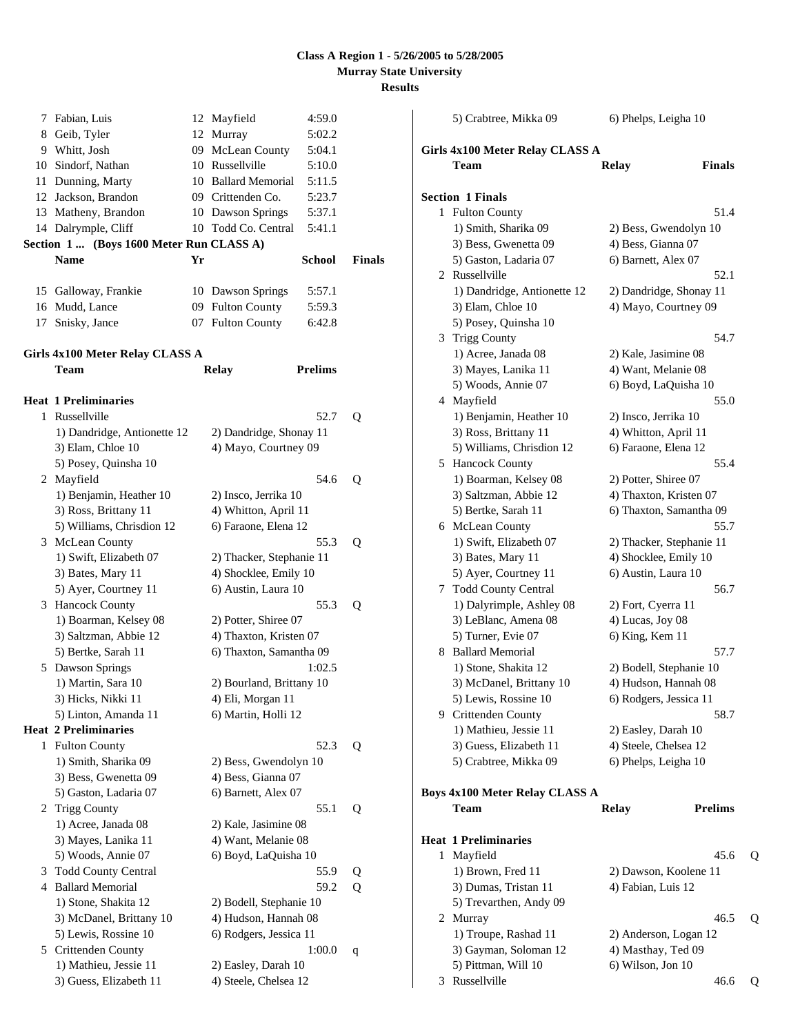| 7  | Fabian, Luis                             |    | 12 Mayfield              | 4:59.0         |        |
|----|------------------------------------------|----|--------------------------|----------------|--------|
| 8  | Geib, Tyler                              |    | 12 Murray                | 5:02.2         |        |
|    | 9 Whitt, Josh                            |    | 09 McLean County         | 5:04.1         |        |
|    | 10 Sindorf, Nathan                       |    | 10 Russellville          | 5:10.0         |        |
| 11 | Dunning, Marty                           |    | 10 Ballard Memorial      | 5:11.5         |        |
|    | 12 Jackson, Brandon                      |    | 09 Crittenden Co.        | 5:23.7         |        |
|    | 13 Matheny, Brandon                      |    | 10 Dawson Springs        | 5:37.1         |        |
|    | 14 Dalrymple, Cliff                      |    | 10 Todd Co. Central      | 5:41.1         |        |
|    | Section 1  (Boys 1600 Meter Run CLASS A) |    |                          |                |        |
|    | <b>Name</b>                              | Yr |                          | <b>School</b>  | Finals |
|    |                                          |    |                          |                |        |
|    | 15 Galloway, Frankie                     |    | 10 Dawson Springs        | 5:57.1         |        |
| 16 | Mudd, Lance                              |    | 09 Fulton County         | 5:59.3         |        |
|    | 17 Snisky, Jance                         |    | 07 Fulton County         | 6:42.8         |        |
|    | Girls 4x100 Meter Relay CLASS A          |    |                          |                |        |
|    | Team                                     |    | Relay                    | <b>Prelims</b> |        |
|    |                                          |    |                          |                |        |
|    | Heat 1 Preliminaries<br>1 Russellville   |    |                          | 52.7           | Q      |
|    | 1) Dandridge, Antionette 12              |    | 2) Dandridge, Shonay 11  |                |        |
|    | 3) Elam, Chloe 10                        |    | 4) Mayo, Courtney 09     |                |        |
|    | 5) Posey, Quinsha 10                     |    |                          |                |        |
|    | 2 Mayfield                               |    |                          | 54.6           | Q      |
|    | 1) Benjamin, Heather 10                  |    | 2) Insco, Jerrika 10     |                |        |
|    | 3) Ross, Brittany 11                     |    | 4) Whitton, April 11     |                |        |
|    | 5) Williams, Chrisdion 12                |    | 6) Faraone, Elena 12     |                |        |
|    | 3 McLean County                          |    |                          | 55.3           | Q      |
|    | 1) Swift, Elizabeth 07                   |    | 2) Thacker, Stephanie 11 |                |        |
|    | 3) Bates, Mary 11                        |    | 4) Shocklee, Emily 10    |                |        |
|    | 5) Ayer, Courtney 11                     |    | 6) Austin, Laura 10      |                |        |
|    | 3 Hancock County                         |    |                          | 55.3           | Q      |
|    | 1) Boarman, Kelsey 08                    |    | 2) Potter, Shiree 07     |                |        |
|    | 3) Saltzman, Abbie 12                    |    | 4) Thaxton, Kristen 07   |                |        |
|    | 5) Bertke, Sarah 11                      |    | 6) Thaxton, Samantha 09  |                |        |
|    | 5 Dawson Springs                         |    |                          | 1:02.5         |        |
|    | 1) Martin, Sara 10                       |    | 2) Bourland, Brittany 10 |                |        |
|    | 3) Hicks, Nikki 11                       |    | 4) Eli, Morgan 11        |                |        |
|    | 5) Linton, Amanda 11                     |    | 6) Martin, Holli 12      |                |        |
|    | <b>Heat 2 Preliminaries</b>              |    |                          |                |        |
| 1  | <b>Fulton County</b>                     |    |                          | 52.3           | Q      |
|    | 1) Smith, Sharika 09                     |    | 2) Bess, Gwendolyn 10    |                |        |
|    | 3) Bess, Gwenetta 09                     |    | 4) Bess, Gianna 07       |                |        |
|    | 5) Gaston, Ladaria 07                    |    | 6) Barnett, Alex 07      |                |        |
| 2  | <b>Trigg County</b>                      |    |                          | 55.1           | Q      |
|    | 1) Acree, Janada 08                      |    | 2) Kale, Jasimine 08     |                |        |
|    | 3) Mayes, Lanika 11                      |    | 4) Want, Melanie 08      |                |        |
|    | 5) Woods, Annie 07                       |    | 6) Boyd, LaQuisha 10     |                |        |
| 3  | <b>Todd County Central</b>               |    |                          | 55.9           | Q      |
|    | 4 Ballard Memorial                       |    |                          | 59.2           | Q      |
|    | 1) Stone, Shakita 12                     |    | 2) Bodell, Stephanie 10  |                |        |
|    | 3) McDanel, Brittany 10                  |    | 4) Hudson, Hannah 08     |                |        |
|    | 5) Lewis, Rossine 10                     |    | 6) Rodgers, Jessica 11   |                |        |
|    | 5 Crittenden County                      |    |                          | 1:00.0         | q      |
|    | 1) Mathieu, Jessie 11                    |    | 2) Easley, Darah 10      |                |        |
|    | 3) Guess, Elizabeth 11                   |    | 4) Steele, Chelsea 12    |                |        |

|    | 5) Crabtree, Mikka 09                      | 6) Phelps, Leigha 10     |                |   |
|----|--------------------------------------------|--------------------------|----------------|---|
|    | Girls 4x100 Meter Relay CLASS A            |                          |                |   |
|    | Team                                       | Relay                    | <b>Finals</b>  |   |
|    | <b>Section 1 Finals</b>                    |                          |                |   |
| 1  | <b>Fulton County</b>                       |                          | 51.4           |   |
|    | 1) Smith, Sharika 09                       | 2) Bess, Gwendolyn 10    |                |   |
|    | 3) Bess, Gwenetta 09                       | 4) Bess, Gianna 07       |                |   |
|    | 5) Gaston, Ladaria 07                      | 6) Barnett, Alex 07      |                |   |
|    | 2 Russellville                             |                          | 52.1           |   |
|    | 1) Dandridge, Antionette 12                | 2) Dandridge, Shonay 11  |                |   |
|    | 3) Elam, Chloe 10                          | 4) Mayo, Courtney 09     |                |   |
|    | 5) Posey, Quinsha 10                       |                          |                |   |
| 3  | <b>Trigg County</b>                        |                          | 54.7           |   |
|    | 1) Acree, Janada 08                        | 2) Kale, Jasimine 08     |                |   |
|    | 3) Mayes, Lanika 11                        | 4) Want, Melanie 08      |                |   |
|    | 5) Woods, Annie 07                         | 6) Boyd, LaQuisha 10     |                |   |
|    | 4 Mayfield                                 |                          | 55.0           |   |
|    | 1) Benjamin, Heather 10                    | 2) Insco, Jerrika 10     |                |   |
|    | 3) Ross, Brittany 11                       | 4) Whitton, April 11     |                |   |
|    | 5) Williams, Chrisdion 12                  | 6) Faraone, Elena 12     |                |   |
|    | 5 Hancock County                           |                          | 55.4           |   |
|    | 1) Boarman, Kelsey 08                      | 2) Potter, Shiree 07     |                |   |
|    | 3) Saltzman, Abbie 12                      | 4) Thaxton, Kristen 07   |                |   |
|    | 5) Bertke, Sarah 11                        | 6) Thaxton, Samantha 09  |                |   |
|    | 6 McLean County                            |                          | 55.7           |   |
|    | 1) Swift, Elizabeth 07                     | 2) Thacker, Stephanie 11 |                |   |
|    | 3) Bates, Mary 11                          | 4) Shocklee, Emily 10    |                |   |
|    | 5) Ayer, Courtney 11                       | 6) Austin, Laura 10      |                |   |
| 7  | <b>Todd County Central</b>                 |                          | 56.7           |   |
|    | 1) Dalyrimple, Ashley 08                   | 2) Fort, Cyerra 11       |                |   |
|    | 3) LeBlanc, Amena 08                       | 4) Lucas, Joy 08         |                |   |
|    | 5) Turner, Evie 07                         | 6) King, Kem 11          |                |   |
| 8  | <b>Ballard Memorial</b>                    |                          | 57.7           |   |
|    | 1) Stone, Shakita 12                       | 2) Bodell, Stephanie 10  |                |   |
|    | 3) McDanel, Brittany 10                    | 4) Hudson, Hannah 08     |                |   |
| 9. | 5) Lewis, Rossine 10                       | 6) Rodgers, Jessica 11   | 58.7           |   |
|    | Crittenden County<br>1) Mathieu, Jessie 11 | 2) Easley, Darah 10      |                |   |
|    | 3) Guess, Elizabeth 11                     | 4) Steele, Chelsea 12    |                |   |
|    | 5) Crabtree, Mikka 09                      | 6) Phelps, Leigha 10     |                |   |
|    |                                            |                          |                |   |
|    | Boys 4x100 Meter Relay CLASS A             |                          |                |   |
|    | Team                                       | <b>Relay</b>             | <b>Prelims</b> |   |
|    | <b>Heat 1 Preliminaries</b>                |                          |                |   |
| 1  | Mayfield                                   |                          | 45.6           | Q |
|    | 1) Brown, Fred 11                          | 2) Dawson, Koolene 11    |                |   |
|    | 3) Dumas, Tristan 11                       | 4) Fabian, Luis 12       |                |   |
|    | 5) Trevarthen, Andy 09                     |                          |                |   |
|    | 2 Murray                                   |                          | 46.5           | Q |
|    | 1) Troupe, Rashad 11                       | 2) Anderson, Logan 12    |                |   |
|    | 3) Gayman, Soloman 12                      | 4) Masthay, Ted 09       |                |   |
|    | 5) Pittman, Will 10                        | 6) Wilson, Jon 10        |                |   |
| 3  | Russellville                               |                          | 46.6           | Q |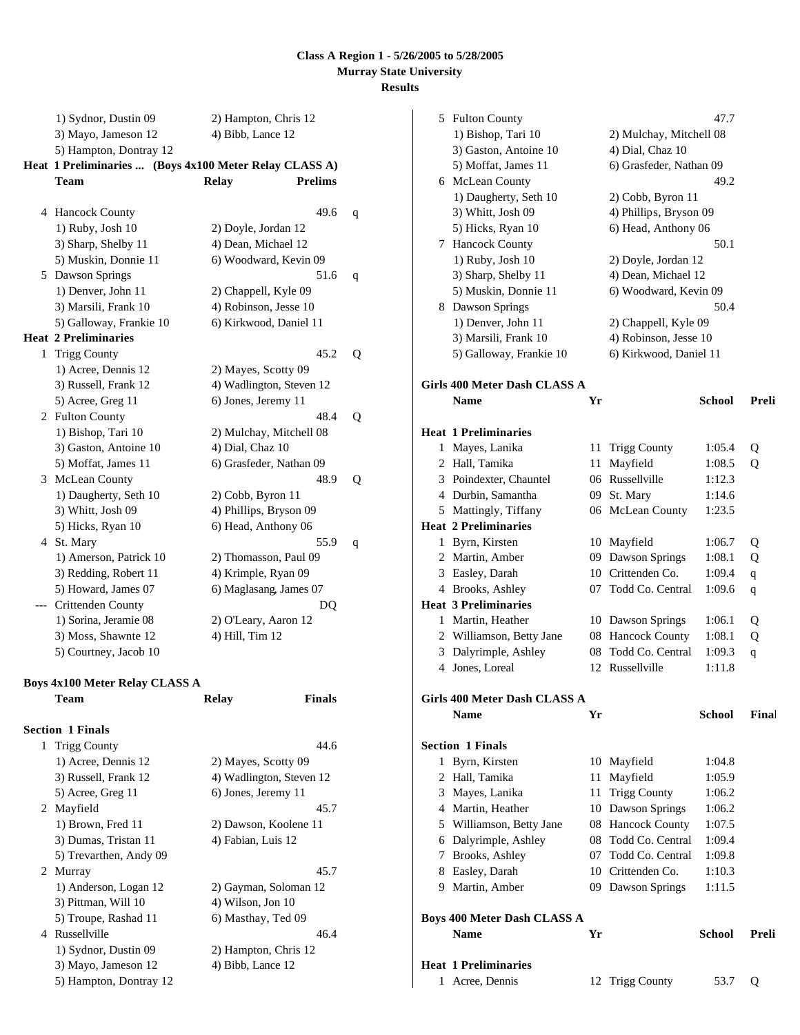| 1) Sydnor, Dustin 09                                   |                                           |                |   |
|--------------------------------------------------------|-------------------------------------------|----------------|---|
| 3) Mayo, Jameson 12                                    | 2) Hampton, Chris 12<br>4) Bibb, Lance 12 |                |   |
| 5) Hampton, Dontray 12                                 |                                           |                |   |
| Heat 1 Preliminaries  (Boys 4x100 Meter Relay CLASS A) |                                           |                |   |
| <b>Team</b>                                            | <b>Relay</b>                              | <b>Prelims</b> |   |
|                                                        |                                           |                |   |
| 4 Hancock County                                       |                                           | 49.6           | q |
| 1) Ruby, Josh 10                                       | 2) Doyle, Jordan 12                       |                |   |
| 3) Sharp, Shelby 11                                    | 4) Dean, Michael 12                       |                |   |
| 5) Muskin, Donnie 11                                   | 6) Woodward, Kevin 09                     |                |   |
| 5 Dawson Springs                                       |                                           | 51.6           | q |
| 1) Denver, John 11                                     | 2) Chappell, Kyle 09                      |                |   |
| 3) Marsili, Frank 10                                   | 4) Robinson, Jesse 10                     |                |   |
| 5) Galloway, Frankie 10                                | 6) Kirkwood, Daniel 11                    |                |   |
| <b>Heat 2 Preliminaries</b>                            |                                           |                |   |
| 1 Trigg County                                         |                                           | 45.2           | Q |
| 1) Acree, Dennis 12                                    | 2) Mayes, Scotty 09                       |                |   |
| 3) Russell, Frank 12                                   | 4) Wadlington, Steven 12                  |                |   |
| 5) Acree, Greg 11                                      | 6) Jones, Jeremy 11                       |                |   |
| 2 Fulton County                                        |                                           | 48.4           | Q |
| 1) Bishop, Tari 10                                     | 2) Mulchay, Mitchell 08                   |                |   |
| 3) Gaston, Antoine 10                                  | 4) Dial, Chaz 10                          |                |   |
| 5) Moffat, James 11                                    | 6) Grasfeder, Nathan 09                   |                |   |
| 3 McLean County                                        |                                           | 48.9           | Q |
| 1) Daugherty, Seth 10                                  | 2) Cobb, Byron 11                         |                |   |
| 3) Whitt, Josh 09                                      | 4) Phillips, Bryson 09                    |                |   |
| 5) Hicks, Ryan 10                                      | 6) Head, Anthony 06                       |                |   |
| 4 St. Mary                                             |                                           | 55.9           | q |
| 1) Amerson, Patrick 10                                 | 2) Thomasson, Paul 09                     |                |   |
| 3) Redding, Robert 11                                  | 4) Krimple, Ryan 09                       |                |   |
| 5) Howard, James 07                                    | 6) Maglasang, James 07                    |                |   |
| --- Crittenden County                                  |                                           | DQ             |   |
| 1) Sorina, Jeramie 08                                  | 2) O'Leary, Aaron 12                      |                |   |
| 3) Moss, Shawnte 12                                    | 4) Hill, Tim 12                           |                |   |
| 5) Courtney, Jacob 10                                  |                                           |                |   |
|                                                        |                                           |                |   |
| <b>Boys 4x100 Meter Relay CLASS A</b>                  |                                           |                |   |
| Team                                                   | <b>Relay</b>                              | <b>Finals</b>  |   |
|                                                        |                                           |                |   |
| <b>Section 1 Finals</b>                                |                                           |                |   |
| 1 Trigg County                                         |                                           | 44.6           |   |
| 1) Acree, Dennis 12                                    | 2) Mayes, Scotty 09                       |                |   |
| 3) Russell, Frank 12                                   | 4) Wadlington, Steven 12                  |                |   |
| 5) Acree, Greg 11                                      | 6) Jones, Jeremy 11                       |                |   |
| 2 Mayfield                                             |                                           | 45.7           |   |
| 1) Brown, Fred 11                                      | 2) Dawson, Koolene 11                     |                |   |
| 3) Dumas, Tristan 11                                   | 4) Fabian, Luis 12                        |                |   |
| 5) Trevarthen, Andy 09                                 |                                           |                |   |
| 2 Murray                                               |                                           | 45.7           |   |
| 1) Anderson, Logan 12                                  | 2) Gayman, Soloman 12                     |                |   |
| 3) Pittman, Will 10                                    | 4) Wilson, Jon 10                         |                |   |
| 5) Troupe, Rashad 11                                   | 6) Masthay, Ted 09                        |                |   |
| 4 Russellville                                         |                                           | 46.4           |   |
| 1) Sydnor, Dustin 09                                   | 2) Hampton, Chris 12                      |                |   |

3) Mayo, Jameson 12 4) Bibb, Lance 12

5) Hampton, Dontray 12

|   | 5 Fulton County                     |    |                         | 47.7          |              |
|---|-------------------------------------|----|-------------------------|---------------|--------------|
|   | 1) Bishop, Tari 10                  |    | 2) Mulchay, Mitchell 08 |               |              |
|   | 3) Gaston, Antoine 10               |    | 4) Dial, Chaz 10        |               |              |
|   | 5) Moffat, James 11                 |    | 6) Grasfeder, Nathan 09 |               |              |
|   | 6 McLean County                     |    |                         | 49.2          |              |
|   | 1) Daugherty, Seth 10               |    | 2) Cobb, Byron 11       |               |              |
|   | 3) Whitt, Josh 09                   |    | 4) Phillips, Bryson 09  |               |              |
|   | 5) Hicks, Ryan 10                   |    | 6) Head, Anthony 06     |               |              |
|   | 7 Hancock County                    |    |                         | 50.1          |              |
|   | 1) Ruby, Josh 10                    |    | 2) Doyle, Jordan 12     |               |              |
|   | 3) Sharp, Shelby 11                 |    | 4) Dean, Michael 12     |               |              |
|   | 5) Muskin, Donnie 11                |    | 6) Woodward, Kevin 09   |               |              |
|   | 8 Dawson Springs                    |    |                         | 50.4          |              |
|   | 1) Denver, John 11                  |    | 2) Chappell, Kyle 09    |               |              |
|   | 3) Marsili, Frank 10                |    | 4) Robinson, Jesse 10   |               |              |
|   | 5) Galloway, Frankie 10             |    | 6) Kirkwood, Daniel 11  |               |              |
|   |                                     |    |                         |               |              |
|   | <b>Girls 400 Meter Dash CLASS A</b> |    |                         |               |              |
|   | <b>Name</b>                         | Yr |                         | <b>School</b> | Preli        |
|   |                                     |    |                         |               |              |
|   | <b>Heat 1 Preliminaries</b>         |    |                         |               |              |
|   | 1 Mayes, Lanika                     | 11 | <b>Trigg County</b>     | 1:05.4        | Q            |
|   | 2 Hall, Tamika                      | 11 | Mayfield                | 1:08.5        | Q            |
|   | 3 Poindexter, Chauntel              |    | 06 Russellville         | 1:12.3        |              |
|   | 4 Durbin, Samantha                  |    | 09 St. Mary             | 1:14.6        |              |
|   | 5 Mattingly, Tiffany                |    | 06 McLean County        | 1:23.5        |              |
|   | <b>Heat 2 Preliminaries</b>         |    |                         |               |              |
|   | 1 Byrn, Kirsten                     |    | 10 Mayfield             | 1:06.7        | Q            |
|   | 2 Martin, Amber                     |    | 09 Dawson Springs       | 1:08.1        | Q            |
|   | 3 Easley, Darah                     |    | 10 Crittenden Co.       | 1:09.4        |              |
|   | 4 Brooks, Ashley                    |    | 07 Todd Co. Central     | 1:09.6        | $\mathbf{q}$ |
|   | <b>Heat 3 Preliminaries</b>         |    |                         |               | q            |
|   | 1 Martin, Heather                   |    | 10 Dawson Springs       | 1:06.1        |              |
|   | 2 Williamson, Betty Jane            |    | 08 Hancock County       | 1:08.1        | Q<br>Q       |
|   | 3 Dalyrimple, Ashley                | 08 | Todd Co. Central        | 1:09.3        |              |
|   | 4 Jones, Loreal                     |    | 12 Russellville         | 1:11.8        | q            |
|   |                                     |    |                         |               |              |
|   | Girls 400 Meter Dash CLASS A        |    |                         |               |              |
|   | Name                                | Yr |                         | School        | Final        |
|   |                                     |    |                         |               |              |
|   | <b>Section 1 Finals</b>             |    |                         |               |              |
| 1 | Byrn, Kirsten                       |    | 10 Mayfield             | 1:04.8        |              |
|   | 2 Hall, Tamika                      |    | 11 Mayfield             | 1:05.9        |              |
|   | 3 Mayes, Lanika                     |    | 11 Trigg County         | 1:06.2        |              |
|   | 4 Martin, Heather                   |    | 10 Dawson Springs       | 1:06.2        |              |
|   | 5 Williamson, Betty Jane            |    | 08 Hancock County       | 1:07.5        |              |
|   | 6 Dalyrimple, Ashley                |    | 08 Todd Co. Central     | 1:09.4        |              |
|   | 7 Brooks, Ashley                    |    | 07 Todd Co. Central     | 1:09.8        |              |
|   | 8 Easley, Darah                     |    | 10 Crittenden Co.       | 1:10.3        |              |
|   | 9 Martin, Amber                     |    | 09 Dawson Springs       | 1:11.5        |              |
|   |                                     |    |                         |               |              |
|   | <b>Boys 400 Meter Dash CLASS A</b>  |    |                         |               |              |
|   | <b>Name</b>                         | Yr |                         | School        | Preli        |
|   |                                     |    |                         |               |              |
|   | <b>Heat 1 Preliminaries</b>         |    |                         |               |              |
|   | 1 Acree, Dennis                     |    | 12 Trigg County         | 53.7          | Q            |
|   |                                     |    |                         |               |              |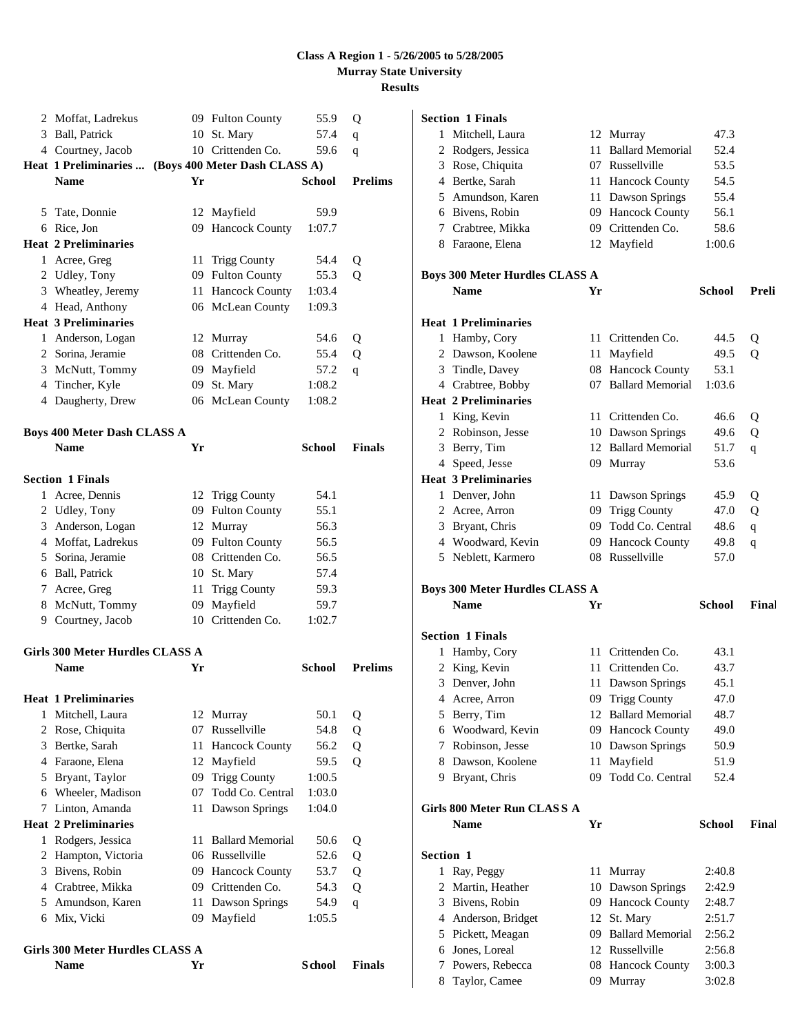| 2 | Moffat, Ladrekus                               |    | 09 Fulton County              | 55.9           | Q              |
|---|------------------------------------------------|----|-------------------------------|----------------|----------------|
|   | 3 Ball, Patrick                                |    | 10 St. Mary                   | 57.4           | q              |
|   | 4 Courtney, Jacob                              |    | 10 Crittenden Co.             | 59.6           | q              |
|   | Heat 1 Preliminaries                           |    | (Boys 400 Meter Dash CLASS A) |                |                |
|   | <b>Name</b>                                    | Yr |                               | <b>School</b>  | <b>Prelims</b> |
|   |                                                |    |                               |                |                |
|   | 5 Tate, Donnie                                 |    | 12 Mayfield                   | 59.9           |                |
|   | 6 Rice, Jon                                    |    | 09 Hancock County             | 1:07.7         |                |
|   | <b>Heat 2 Preliminaries</b>                    |    |                               |                |                |
|   | 1 Acree, Greg                                  |    | 11 Trigg County               | 54.4           | Q              |
|   | 2 Udley, Tony                                  |    | 09 Fulton County              | 55.3           | 0              |
|   | 3 Wheatley, Jeremy                             |    | 11 Hancock County             | 1:03.4         |                |
|   | 4 Head, Anthony                                |    | 06 McLean County              | 1:09.3         |                |
|   | <b>Heat 3 Preliminaries</b>                    |    |                               |                |                |
|   | 1 Anderson, Logan                              |    | 12 Murray                     | 54.6           | Q              |
|   | 2 Sorina, Jeramie                              |    | 08 Crittenden Co.             | 55.4           | Q              |
|   | 3 McNutt, Tommy                                |    | 09 Mayfield                   | 57.2           | q              |
|   | 4 Tincher, Kyle                                |    | 09 St. Mary                   | 1:08.2         |                |
|   | 4 Daugherty, Drew                              |    | 06 McLean County              | 1:08.2         |                |
|   | <b>Boys 400 Meter Dash CLASS A</b>             |    |                               |                |                |
|   | <b>Name</b>                                    | Yr |                               | <b>School</b>  | <b>Finals</b>  |
|   |                                                |    |                               |                |                |
|   | <b>Section 1 Finals</b>                        |    |                               |                |                |
|   | 1 Acree, Dennis                                |    | 12 Trigg County               | 54.1           |                |
|   | 2 Udley, Tony                                  |    | 09 Fulton County              | 55.1           |                |
|   | 3 Anderson, Logan                              |    | 12 Murray                     | 56.3           |                |
|   | 4 Moffat, Ladrekus                             |    | 09 Fulton County              | 56.5           |                |
|   | 5 Sorina, Jeramie                              |    | 08 Crittenden Co.             | 56.5           |                |
|   | 6 Ball, Patrick                                |    | 10 St. Mary                   | 57.4           |                |
|   | 7 Acree, Greg                                  | 11 | <b>Trigg County</b>           | 59.3           |                |
|   | 8 McNutt, Tommy                                |    | 09 Mayfield                   | 59.7           |                |
|   | 9 Courtney, Jacob                              |    | 10 Crittenden Co.             | 1:02.7         |                |
|   | Girls 300 Meter Hurdles CLASS A                |    |                               |                |                |
|   | <b>Name</b>                                    | Yr |                               | <b>School</b>  | <b>Prelims</b> |
|   | <b>Heat 1 Preliminaries</b>                    |    |                               |                |                |
| 1 | Mitchell, Laura                                |    | 12 Murray                     | 50.1           | Q              |
| 2 | Rose, Chiquita                                 |    | 07 Russellville               | 54.8           | Q              |
| 3 | Bertke, Sarah                                  | 11 | <b>Hancock County</b>         | 56.2           | Q              |
|   | 4 Faraone, Elena                               |    | 12 Mayfield                   | 59.5           | Q              |
| 5 | Bryant, Taylor                                 | 09 | <b>Trigg County</b>           | 1:00.5         |                |
|   | 6 Wheeler, Madison                             | 07 | Todd Co. Central              | 1:03.0         |                |
| 7 | Linton, Amanda                                 | 11 | Dawson Springs                | 1:04.0         |                |
|   | <b>Heat 2 Preliminaries</b>                    |    |                               |                |                |
| 1 | Rodgers, Jessica                               | 11 | <b>Ballard Memorial</b>       | 50.6           | Q              |
| 2 | Hampton, Victoria                              |    | 06 Russellville               | 52.6           | Q              |
| 3 | Bivens, Robin                                  |    | 09 Hancock County             | 53.7           | Q              |
|   | 4 Crabtree, Mikka                              |    | 09 Crittenden Co.             | 54.3           | Q              |
|   | 5 Amundson, Karen                              | 11 | Dawson Springs                | 54.9           | q              |
|   | 6 Mix, Vicki                                   | 09 | Mayfield                      | 1:05.5         |                |
|   |                                                |    |                               |                |                |
|   | Girls 300 Meter Hurdles CLASS A<br><b>Name</b> | Yr |                               | <b>S</b> chool | <b>Finals</b>  |
|   |                                                |    |                               |                |                |

# **Section 1 Finals**

| 1         | Mitchell, Laura                       |     | 12 Murray                            | 47.3             |       |
|-----------|---------------------------------------|-----|--------------------------------------|------------------|-------|
|           | 2 Rodgers, Jessica                    |     | 11 Ballard Memorial                  | 52.4             |       |
|           | 3 Rose, Chiquita                      |     | 07 Russellville                      | 53.5             |       |
|           | 4 Bertke, Sarah                       |     | 11 Hancock County                    | 54.5             |       |
|           | 5 Amundson, Karen                     |     | 11 Dawson Springs                    | 55.4             |       |
|           | 6 Bivens, Robin                       |     | 09 Hancock County                    | 56.1             |       |
|           | 7 Crabtree, Mikka                     |     | 09 Crittenden Co.                    | 58.6             |       |
|           | 8 Faraone, Elena                      |     | 12 Mayfield                          | 1:00.6           |       |
|           |                                       |     |                                      |                  |       |
|           | <b>Boys 300 Meter Hurdles CLASS A</b> |     |                                      |                  |       |
|           | <b>Name</b>                           | Yr  |                                      | <b>School</b>    | Preli |
|           |                                       |     |                                      |                  |       |
|           | <b>Heat 1 Preliminaries</b>           |     |                                      |                  |       |
|           | 1 Hamby, Cory                         |     | 11 Crittenden Co.                    | 44.5             | Q     |
|           | 2 Dawson, Koolene                     |     | 11 Mayfield                          | 49.5             | Q     |
|           | 3 Tindle, Davey                       |     | 08 Hancock County                    | 53.1             |       |
|           | 4 Crabtree, Bobby                     |     | 07 Ballard Memorial                  | 1:03.6           |       |
|           | <b>Heat 2 Preliminaries</b>           |     |                                      |                  |       |
|           | 1 King, Kevin                         |     | 11 Crittenden Co.                    | 46.6             | Q     |
|           | 2 Robinson, Jesse                     |     | 10 Dawson Springs                    | 49.6             | Q     |
|           | 3 Berry, Tim                          |     | 12 Ballard Memorial                  | 51.7             | q     |
|           | 4 Speed, Jesse                        |     | 09 Murray                            | 53.6             |       |
|           | <b>Heat 3 Preliminaries</b>           |     |                                      |                  |       |
|           | 1 Denver, John                        |     | 11 Dawson Springs                    | 45.9             | Q     |
|           | 2 Acree, Arron                        |     | 09 Trigg County                      | 47.0             | Q     |
|           | 3 Bryant, Chris                       |     | 09 Todd Co. Central                  | 48.6             | q     |
|           | 4 Woodward, Kevin                     |     | 09 Hancock County                    | 49.8             | q     |
|           |                                       |     | 08 Russellville                      |                  |       |
|           | 5 Neblett, Karmero                    |     |                                      | 57.0             |       |
|           |                                       |     |                                      |                  |       |
|           | <b>Boys 300 Meter Hurdles CLASS A</b> |     |                                      |                  |       |
|           | <b>Name</b>                           | Yr  |                                      | <b>School</b>    | Final |
|           |                                       |     |                                      |                  |       |
|           | <b>Section 1 Finals</b>               |     |                                      |                  |       |
|           | 1 Hamby, Cory                         |     | 11 Crittenden Co.                    | 43.1             |       |
|           | 2 King, Kevin                         |     | 11 Crittenden Co.                    | 43.7             |       |
|           | 3 Denver, John                        |     | 11 Dawson Springs                    | 45.1             |       |
|           | 4 Acree, Arron                        |     | 09 Trigg County                      | 47.0             |       |
|           | 5 Berry, Tim                          |     | 12 Ballard Memorial                  | 48.7             |       |
|           | 6 Woodward, Kevin                     |     | 09 Hancock County                    | 49.0             |       |
|           | 7 Robinson, Jesse                     |     | 10 Dawson Springs                    | 50.9             |       |
|           | 8 Dawson, Koolene                     |     | 11 Mayfield                          | 51.9             |       |
|           | 9 Bryant, Chris                       | 09. | Todd Co. Central                     | 52.4             |       |
|           |                                       |     |                                      |                  |       |
|           | Girls 800 Meter Run CLASS A           |     |                                      |                  |       |
|           | <b>Name</b>                           | Yr  |                                      | <b>School</b>    | Final |
| Section 1 |                                       |     |                                      |                  |       |
|           |                                       |     |                                      | 2:40.8           |       |
|           | 1 Ray, Peggy                          |     | 11 Murray                            |                  |       |
|           | 2 Martin, Heather                     |     | 10 Dawson Springs                    | 2:42.9           |       |
|           | 3 Bivens, Robin                       |     | 09 Hancock County                    | 2:48.7           |       |
|           | 4 Anderson, Bridget                   |     | 12 St. Mary                          | 2:51.7           |       |
|           | 5 Pickett, Meagan                     |     | 09 Ballard Memorial                  | 2:56.2           |       |
|           | 6 Jones, Loreal<br>7 Powers, Rebecca  |     | 12 Russellville<br>08 Hancock County | 2:56.8<br>3:00.3 |       |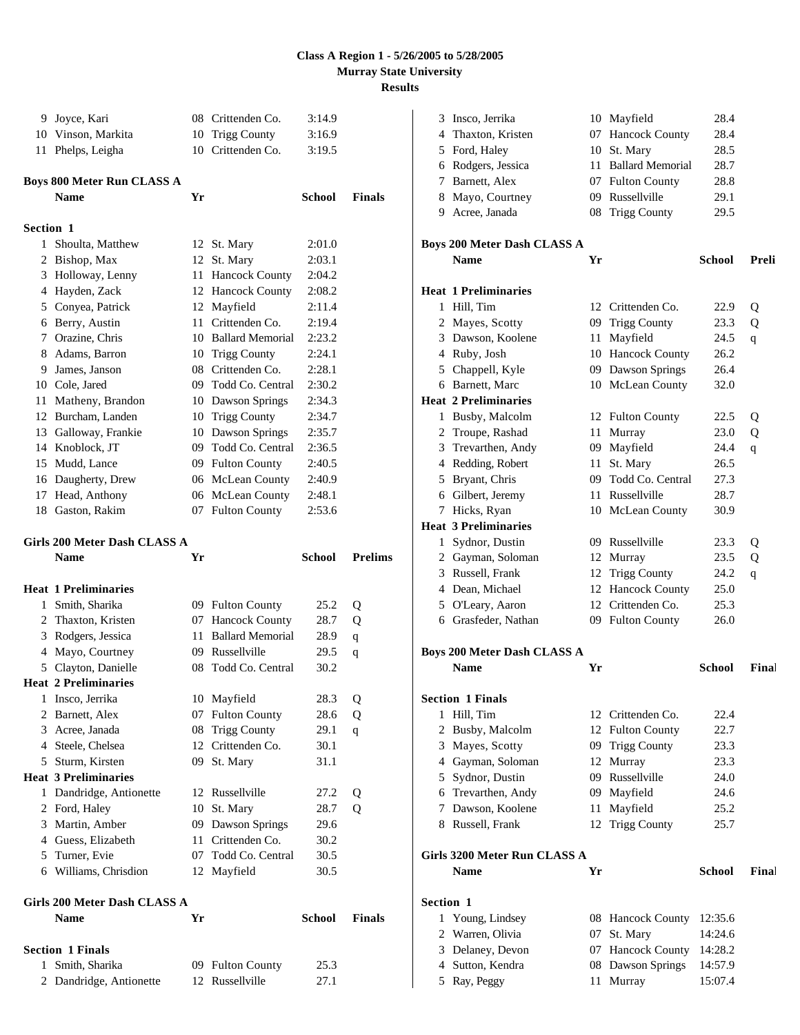|                  | 9 Joyce, Kari                               |    | 08 Crittenden Co.                   | 3:14.9        |                |
|------------------|---------------------------------------------|----|-------------------------------------|---------------|----------------|
|                  | 10 Vinson, Markita                          |    | 10 Trigg County                     | 3:16.9        |                |
|                  | 11 Phelps, Leigha                           |    | 10 Crittenden Co.                   | 3:19.5        |                |
|                  | <b>Boys 800 Meter Run CLASS A</b>           |    |                                     |               |                |
|                  | <b>Name</b>                                 | Yr |                                     | School        | <b>Finals</b>  |
| <b>Section 1</b> |                                             |    |                                     |               |                |
|                  | 1 Shoulta, Matthew                          |    | 12 St. Mary                         | 2:01.0        |                |
|                  | 2 Bishop, Max                               |    | 12 St. Mary                         | 2:03.1        |                |
|                  | 3 Holloway, Lenny                           |    | 11 Hancock County                   | 2:04.2        |                |
|                  | 4 Hayden, Zack                              |    | 12 Hancock County                   | 2:08.2        |                |
|                  | 5 Conyea, Patrick                           |    | 12 Mayfield                         | 2:11.4        |                |
|                  | 6 Berry, Austin                             |    | 11 Crittenden Co.                   | 2:19.4        |                |
|                  | 7 Orazine, Chris                            |    | 10 Ballard Memorial                 | 2:23.2        |                |
|                  | 8 Adams, Barron                             |    | 10 Trigg County                     | 2:24.1        |                |
|                  | 9 James, Janson                             |    | 08 Crittenden Co.                   | 2:28.1        |                |
|                  | 10 Cole, Jared                              |    | 09 Todd Co. Central                 | 2:30.2        |                |
|                  | 11 Matheny, Brandon                         |    | 10 Dawson Springs                   | 2:34.3        |                |
|                  | 12 Burcham, Landen                          |    | 10 Trigg County                     | 2:34.7        |                |
|                  | 13 Galloway, Frankie                        |    | 10 Dawson Springs                   | 2:35.7        |                |
|                  | 14 Knoblock. JT                             |    | 09 Todd Co. Central                 | 2:36.5        |                |
|                  | 15 Mudd, Lance                              |    | 09 Fulton County                    | 2:40.5        |                |
|                  | 16 Daugherty, Drew                          |    | 06 McLean County                    | 2:40.9        |                |
|                  | 17 Head, Anthony                            |    | 06 McLean County                    | 2:48.1        |                |
|                  | 18 Gaston, Rakim                            |    | 07 Fulton County                    | 2:53.6        |                |
|                  |                                             |    |                                     |               |                |
|                  | Girls 200 Meter Dash CLASS A<br><b>Name</b> | Yr |                                     | <b>School</b> | <b>Prelims</b> |
|                  | <b>Heat 1 Preliminaries</b>                 |    |                                     |               |                |
|                  | 1 Smith, Sharika                            |    | 09 Fulton County                    | 25.2          | Q              |
|                  | 2 Thaxton, Kristen                          |    | 07 Hancock County                   | 28.7          | Q              |
|                  | 3 Rodgers, Jessica                          | 11 | <b>Ballard Memorial</b>             | 28.9          | $\mathbf q$    |
|                  | 4 Mayo, Courtney                            |    | 09 Russellville                     | 29.5          | q              |
|                  | 5 Clayton, Danielle                         | 08 | Todd Co. Central                    | 30.2          |                |
|                  | <b>Heat 2 Preliminaries</b>                 |    |                                     |               |                |
| 1                | Insco, Jerrika                              |    | 10 Mayfield                         | 28.3          | Q              |
|                  | 2 Barnett, Alex                             | 07 | <b>Fulton County</b>                | 28.6          | Q              |
|                  | 3 Acree, Janada                             |    | 08 Trigg County                     | 29.1          | $\mathbf{q}$   |
|                  | 4 Steele, Chelsea                           |    | 12 Crittenden Co.                   | 30.1          |                |
|                  | 5 Sturm, Kirsten                            |    | 09 St. Mary                         | 31.1          |                |
|                  | <b>Heat 3 Preliminaries</b>                 |    |                                     |               |                |
|                  | 1 Dandridge, Antionette                     | 12 | Russellville                        | 27.2          | Q              |
|                  | 2 Ford, Haley                               |    | 10 St. Mary                         | 28.7          | Q              |
|                  | 3 Martin, Amber                             |    | 09 Dawson Springs                   | 29.6          |                |
|                  | 4 Guess, Elizabeth                          |    | 11 Crittenden Co.                   | 30.2          |                |
|                  | 5 Turner, Evie                              |    | 07 Todd Co. Central                 | 30.5          |                |
|                  | 6 Williams, Chrisdion                       |    | 12 Mayfield                         | 30.5          |                |
|                  | Girls 200 Meter Dash CLASS A                |    |                                     |               |                |
|                  | <b>Name</b>                                 | Yr |                                     | <b>School</b> | <b>Finals</b>  |
|                  |                                             |    |                                     |               |                |
|                  |                                             |    |                                     |               |                |
|                  | <b>Section 1 Finals</b>                     |    |                                     |               |                |
| 1                | Smith, Sharika<br>2 Dandridge, Antionette   |    | 09 Fulton County<br>12 Russellville | 25.3<br>27.1  |                |

| 3                | Insco, Jerrika                     |     | 10 Mayfield              | 28.4               |       |
|------------------|------------------------------------|-----|--------------------------|--------------------|-------|
|                  | 4 Thaxton, Kristen                 | 07  | <b>Hancock County</b>    | 28.4               |       |
|                  | 5 Ford, Haley                      | 10  | St. Mary                 | 28.5               |       |
| 6                | Rodgers, Jessica                   | 11  | <b>Ballard Memorial</b>  | 28.7               |       |
| 7                | Barnett, Alex                      | 07  | <b>Fulton County</b>     | 28.8               |       |
|                  | 8 Mayo, Courtney                   | 09. | Russellville             | 29.1               |       |
|                  | 9 Acree, Janada                    | 08  | <b>Trigg County</b>      | 29.5               |       |
|                  | <b>Boys 200 Meter Dash CLASS A</b> |     |                          |                    |       |
|                  | <b>Name</b>                        | Yr  |                          | <b>School</b>      | Preli |
|                  | <b>Heat 1 Preliminaries</b>        |     |                          |                    |       |
| 1                | Hill, Tim                          |     | 12 Crittenden Co.        | 22.9               | Q     |
| 2                | Mayes, Scotty                      | 09  | <b>Trigg County</b>      | 23.3               | Q     |
|                  | 3 Dawson, Koolene                  | 11  | Mayfield                 | 24.5               | q     |
|                  | 4 Ruby, Josh                       |     | 10 Hancock County        | 26.2               |       |
|                  | 5 Chappell, Kyle                   |     | 09 Dawson Springs        | 26.4               |       |
|                  | 6 Barnett, Marc                    |     | 10 McLean County         | 32.0               |       |
|                  | <b>Heat 2 Preliminaries</b>        |     |                          |                    |       |
| 1                | Busby, Malcolm                     |     | 12 Fulton County         | 22.5               | Q     |
| 2                | Troupe, Rashad                     | 11  | Murray                   | 23.0               | Q     |
| 3                | Trevarthen, Andy                   | 09  | Mayfield                 | 24.4               | q     |
|                  | 4 Redding, Robert                  | 11  | St. Mary                 | 26.5               |       |
| 5                | Bryant, Chris                      | 09  | Todd Co. Central         | 27.3               |       |
|                  | 6 Gilbert, Jeremy                  | 11  | Russellville             | 28.7               |       |
| 7                | Hicks, Ryan                        |     | 10 McLean County         | 30.9               |       |
|                  | <b>Heat 3 Preliminaries</b>        |     |                          |                    |       |
| 1                | Sydnor, Dustin                     |     | 09 Russellville          | 23.3               | Q     |
|                  | 2 Gayman, Soloman                  | 12  | Murray                   | 23.5               | Q     |
|                  | 3 Russell, Frank                   | 12  | <b>Trigg County</b>      | 24.2               | q     |
|                  | 4 Dean, Michael                    | 12  | <b>Hancock County</b>    | 25.0               |       |
|                  | 5 O'Leary, Aaron                   | 12  | Crittenden Co.           | 25.3               |       |
|                  | 6 Grasfeder, Nathan                |     | 09 Fulton County         | 26.0               |       |
|                  | <b>Boys 200 Meter Dash CLASS A</b> |     |                          |                    |       |
|                  | <b>Name</b>                        | Yr  |                          | <b>School</b>      | Final |
|                  | <b>Section 1 Finals</b>            |     |                          |                    |       |
| 1                | Hill, Tim                          |     | 12 Crittenden Co.        | 22.4               |       |
| 2                | Busby, Malcolm                     | 12  | <b>Fulton County</b>     | 22.7               |       |
| 3                | Mayes, Scotty                      | 09  | <b>Trigg County</b>      | 23.3               |       |
|                  | 4 Gayman, Soloman                  | 12  | Murray                   | 23.3               |       |
| 5                | Sydnor, Dustin                     | 09. | Russellville             | 24.0               |       |
|                  | 6 Trevarthen, Andy                 | 09  | Mayfield                 | 24.6               |       |
| 7                | Dawson, Koolene                    | 11  | Mayfield                 | 25.2               |       |
|                  | 8 Russell, Frank                   | 12  | <b>Trigg County</b>      | 25.7               |       |
|                  | Girls 3200 Meter Run CLASS A       |     |                          |                    |       |
|                  | <b>Name</b>                        | Yr  |                          | <b>School</b>      | Final |
| <b>Section 1</b> |                                    |     |                          |                    |       |
| 1                | Young, Lindsey                     |     | 08 Hancock County        | 12:35.6            |       |
| 2                | Warren, Olivia                     | 07  | St. Mary                 | 14:24.6            |       |
| 3                |                                    |     | Hancock County           |                    |       |
|                  | Delaney, Devon                     | 07  |                          | 14:28.2            |       |
| 4                | Sutton, Kendra<br>Ray, Peggy       | 08  | Dawson Springs<br>Murray | 14:57.9<br>15:07.4 |       |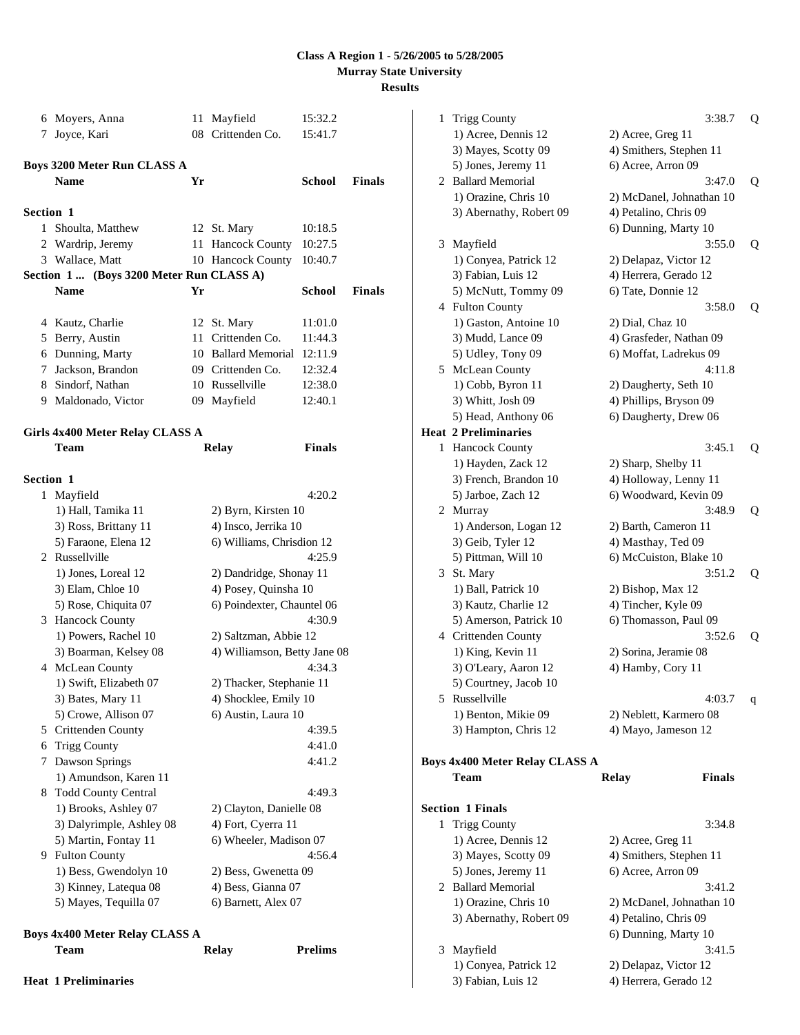|                  | 6 Moyers, Anna                          |    | 11 Mayfield                  | 15:32.2       |        |
|------------------|-----------------------------------------|----|------------------------------|---------------|--------|
| 7                | Joyce, Kari                             |    | 08 Crittenden Co.            | 15:41.7       |        |
|                  |                                         |    |                              |               |        |
|                  | Boys 3200 Meter Run CLASS A             |    |                              |               |        |
|                  | <b>Name</b>                             | Yr |                              | School        | Finals |
| <b>Section 1</b> |                                         |    |                              |               |        |
|                  | 1 Shoulta, Matthew                      |    | 12 St. Mary                  | 10:18.5       |        |
|                  | 2 Wardrip, Jeremy                       |    | 11 Hancock County            | 10:27.5       |        |
|                  | 3 Wallace, Matt                         |    | 10 Hancock County            | 10:40.7       |        |
|                  | Section 1 (Boys 3200 Meter Run CLASS A) |    |                              |               |        |
|                  | <b>Name</b>                             | Yr |                              | School        | Finals |
|                  |                                         |    |                              |               |        |
|                  | 4 Kautz, Charlie                        |    | 12 St. Mary                  | 11:01.0       |        |
|                  | 5 Berry, Austin                         |    | 11 Crittenden Co.            | 11:44.3       |        |
|                  | 6 Dunning, Marty                        |    | 10 Ballard Memorial          | 12:11.9       |        |
|                  | 7 Jackson, Brandon                      |    | 09 Crittenden Co.            | 12:32.4       |        |
|                  | 8 Sindorf, Nathan                       |    | 10 Russellville              | 12:38.0       |        |
|                  | 9 Maldonado, Victor                     |    | 09 Mayfield                  | 12:40.1       |        |
|                  |                                         |    |                              |               |        |
|                  | Girls 4x400 Meter Relay CLASS A         |    |                              |               |        |
|                  | Team                                    |    | <b>Relay</b>                 | <b>Finals</b> |        |
| <b>Section 1</b> |                                         |    |                              |               |        |
|                  | 1 Mayfield                              |    |                              | 4:20.2        |        |
|                  | 1) Hall, Tamika 11                      |    | 2) Byrn, Kirsten 10          |               |        |
|                  | 3) Ross, Brittany 11                    |    | 4) Insco, Jerrika 10         |               |        |
|                  | 5) Faraone, Elena 12                    |    | 6) Williams, Chrisdion 12    |               |        |
|                  | 2 Russellville                          |    |                              | 4:25.9        |        |
|                  | 1) Jones, Loreal 12                     |    | 2) Dandridge, Shonay 11      |               |        |
|                  | 3) Elam, Chloe 10                       |    | 4) Posey, Quinsha 10         |               |        |
|                  | 5) Rose, Chiquita 07                    |    | 6) Poindexter, Chauntel 06   |               |        |
|                  | 3 Hancock County                        |    |                              | 4:30.9        |        |
|                  | 1) Powers, Rachel 10                    |    | 2) Saltzman, Abbie 12        |               |        |
|                  | 3) Boarman, Kelsey 08                   |    | 4) Williamson, Betty Jane 08 |               |        |
|                  | 4 McLean County                         |    |                              | 4:34.3        |        |
|                  | 1) Swift, Elizabeth 07                  |    | 2) Thacker, Stephanie 11     |               |        |
|                  | 3) Bates, Mary 11                       |    | 4) Shocklee, Emily 10        |               |        |
|                  | 5) Crowe, Allison 07                    |    | 6) Austin, Laura 10          |               |        |
|                  | 5 Crittenden County                     |    |                              | 4:39.5        |        |
| 6                | <b>Trigg County</b>                     |    |                              | 4:41.0        |        |
| 7                | Dawson Springs                          |    |                              | 4:41.2        |        |
|                  | 1) Amundson, Karen 11                   |    |                              |               |        |
| 8                | <b>Todd County Central</b>              |    |                              | 4:49.3        |        |
|                  | 1) Brooks, Ashley 07                    |    | 2) Clayton, Danielle 08      |               |        |
|                  | 3) Dalyrimple, Ashley 08                |    | 4) Fort, Cyerra 11           |               |        |
|                  | 5) Martin, Fontay 11                    |    | 6) Wheeler, Madison 07       |               |        |
|                  | 9 Fulton County                         |    |                              | 4:56.4        |        |
|                  | 1) Bess, Gwendolyn 10                   |    | 2) Bess, Gwenetta 09         |               |        |
|                  | 3) Kinney, Latequa 08                   |    | 4) Bess, Gianna 07           |               |        |
|                  | 5) Mayes, Tequilla 07                   |    | 6) Barnett, Alex 07          |               |        |
|                  |                                         |    |                              |               |        |

# **Boys 4x400 Meter Relay CLASS A**

| Team                        | Relay | <b>Prelims</b> |
|-----------------------------|-------|----------------|
| <b>Heat 1 Preliminaries</b> |       |                |

| $\mathbf{1}$ | <b>Trigg County</b>               | 3:38.7                                   | Q |
|--------------|-----------------------------------|------------------------------------------|---|
|              | 1) Acree, Dennis 12               | 2) Acree, Greg 11                        |   |
|              | 3) Mayes, Scotty 09               | 4) Smithers, Stephen 11                  |   |
|              | 5) Jones, Jeremy 11               | 6) Acree, Arron 09                       |   |
|              | 2 Ballard Memorial                | 3:47.0                                   | Q |
|              | 1) Orazine, Chris 10              | 2) McDanel, Johnathan 10                 |   |
|              | 3) Abernathy, Robert 09           | 4) Petalino, Chris 09                    |   |
|              |                                   | 6) Dunning, Marty 10                     |   |
|              | 3 Mayfield                        | 3:55.0                                   | Q |
|              | 1) Conyea, Patrick 12             | 2) Delapaz, Victor 12                    |   |
|              | 3) Fabian, Luis 12                | 4) Herrera, Gerado 12                    |   |
|              | 5) McNutt, Tommy 09               | 6) Tate, Donnie 12                       |   |
|              | 4 Fulton County                   | 3:58.0                                   | Q |
|              | 1) Gaston, Antoine 10             | 2) Dial, Chaz 10                         |   |
|              | 3) Mudd, Lance 09                 | 4) Grasfeder, Nathan 09                  |   |
|              | 5) Udley, Tony 09                 | 6) Moffat, Ladrekus 09                   |   |
|              | 5 McLean County                   | 4:11.8                                   |   |
|              | 1) Cobb, Byron 11                 | 2) Daugherty, Seth 10                    |   |
|              | 3) Whitt, Josh 09                 | 4) Phillips, Bryson 09                   |   |
|              | 5) Head, Anthony 06               | 6) Daugherty, Drew 06                    |   |
|              | <b>Heat 2 Preliminaries</b>       |                                          |   |
| 1            | <b>Hancock County</b>             | 3:45.1                                   | Q |
|              | 1) Hayden, Zack 12                | 2) Sharp, Shelby 11                      |   |
|              | 3) French, Brandon 10             | 4) Holloway, Lenny 11                    |   |
|              | 5) Jarboe, Zach 12                | 6) Woodward, Kevin 09                    |   |
|              | 2 Murray                          | 3:48.9                                   | Q |
|              | 1) Anderson, Logan 12             | 2) Barth, Cameron 11                     |   |
|              | 3) Geib, Tyler 12                 | 4) Masthay, Ted 09                       |   |
|              | 5) Pittman, Will 10               | 6) McCuiston, Blake 10<br>3:51.2         |   |
|              | 3 St. Mary<br>1) Ball, Patrick 10 |                                          | Q |
|              | 3) Kautz, Charlie 12              | 2) Bishop, Max 12<br>4) Tincher, Kyle 09 |   |
|              | 5) Amerson, Patrick 10            | 6) Thomasson, Paul 09                    |   |
|              | 4 Crittenden County               | 3:52.6                                   | Q |
|              | 1) King, Kevin 11                 | 2) Sorina, Jeramie 08                    |   |
|              | 3) O'Leary, Aaron 12              | 4) Hamby, Cory 11                        |   |
|              | 5) Courtney, Jacob 10             |                                          |   |
|              | 5 Russellville                    | 4:03.7                                   | q |
|              | 1) Benton, Mikie 09               | 2) Neblett, Karmero 08                   |   |
|              | 3) Hampton, Chris 12              | 4) Mayo, Jameson 12                      |   |
|              |                                   |                                          |   |
|              | Boys 4x400 Meter Relay CLASS A    |                                          |   |
|              | Team                              | <b>Finals</b><br><b>Relay</b>            |   |
|              |                                   |                                          |   |
|              | <b>Section 1 Finals</b>           |                                          |   |
| $\mathbf{1}$ | <b>Trigg County</b>               | 3:34.8                                   |   |
|              | 1) Acree, Dennis 12               | 2) Acree, Greg 11                        |   |
|              | 3) Mayes, Scotty 09               | 4) Smithers, Stephen 11                  |   |
|              | 5) Jones, Jeremy 11               | 6) Acree, Arron 09                       |   |
|              | 2 Ballard Memorial                | 3:41.2                                   |   |
|              | 1) Orazine, Chris 10              | 2) McDanel, Johnathan 10                 |   |
|              | 3) Abernathy, Robert 09           | 4) Petalino, Chris 09                    |   |
|              |                                   | 6) Dunning, Marty 10                     |   |
|              | 3 Mayfield                        | 3:41.5                                   |   |
|              | 1) Conyea, Patrick 12             | 2) Delapaz, Victor 12                    |   |
|              | 3) Fabian, Luis 12                | 4) Herrera, Gerado 12                    |   |